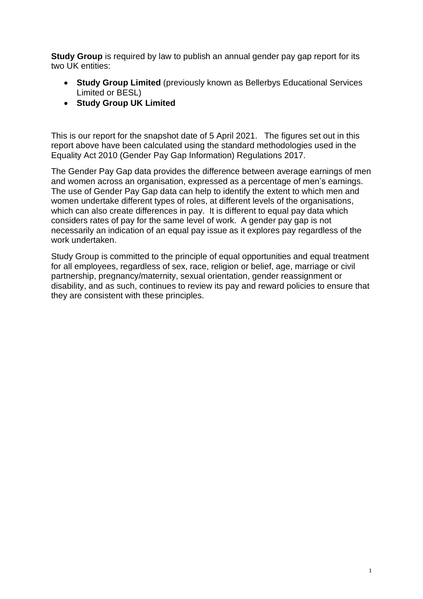**Study Group** is required by law to publish an annual gender pay gap report for its two UK entities:

- **Study Group Limited** (previously known as Bellerbys Educational Services Limited or BESL)
- **Study Group UK Limited**

This is our report for the snapshot date of 5 April 2021. The figures set out in this report above have been calculated using the standard methodologies used in the Equality Act 2010 (Gender Pay Gap Information) Regulations 2017.

The Gender Pay Gap data provides the difference between average earnings of men and women across an organisation, expressed as a percentage of men's earnings. The use of Gender Pay Gap data can help to identify the extent to which men and women undertake different types of roles, at different levels of the organisations, which can also create differences in pay. It is different to equal pay data which considers rates of pay for the same level of work. A gender pay gap is not necessarily an indication of an equal pay issue as it explores pay regardless of the work undertaken.

Study Group is committed to the principle of equal opportunities and equal treatment for all employees, regardless of sex, race, religion or belief, age, marriage or civil partnership, pregnancy/maternity, sexual orientation, gender reassignment or disability, and as such, continues to review its pay and reward policies to ensure that they are consistent with these principles.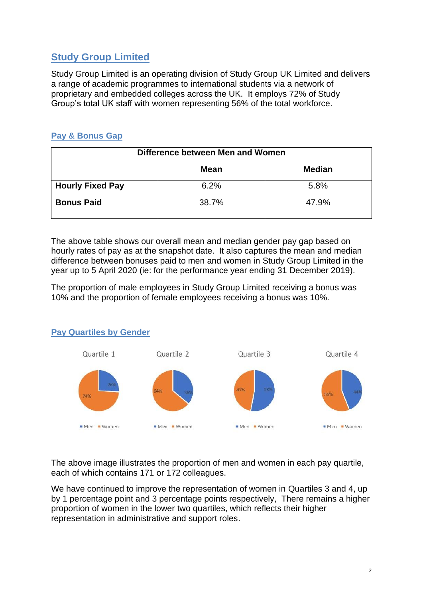# **Study Group Limited**

Study Group Limited is an operating division of Study Group UK Limited and delivers a range of academic programmes to international students via a network of proprietary and embedded colleges across the UK. It employs 72% of Study Group's total UK staff with women representing 56% of the total workforce.

## **Pay & Bonus Gap**

| Difference between Men and Women |             |               |  |
|----------------------------------|-------------|---------------|--|
|                                  | <b>Mean</b> | <b>Median</b> |  |
| <b>Hourly Fixed Pay</b>          | 6.2%        | 5.8%          |  |
| <b>Bonus Paid</b>                | 38.7%       | 47.9%         |  |

The above table shows our overall mean and median gender pay gap based on hourly rates of pay as at the snapshot date. It also captures the mean and median difference between bonuses paid to men and women in Study Group Limited in the year up to 5 April 2020 (ie: for the performance year ending 31 December 2019).

The proportion of male employees in Study Group Limited receiving a bonus was 10% and the proportion of female employees receiving a bonus was 10%.



#### **Pay Quartiles by Gender**

The above image illustrates the proportion of men and women in each pay quartile, each of which contains 171 or 172 colleagues.

We have continued to improve the representation of women in Quartiles 3 and 4, up by 1 percentage point and 3 percentage points respectively, There remains a higher proportion of women in the lower two quartiles, which reflects their higher representation in administrative and support roles.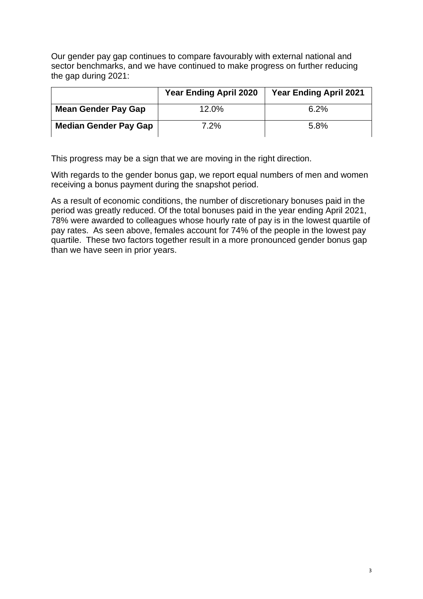Our gender pay gap continues to compare favourably with external national and sector benchmarks, and we have continued to make progress on further reducing the gap during 2021:

|                              | <b>Year Ending April 2020</b> | <b>Year Ending April 2021</b> |
|------------------------------|-------------------------------|-------------------------------|
| <b>Mean Gender Pay Gap</b>   | 12.0%                         | 6.2%                          |
| <b>Median Gender Pay Gap</b> | 7.2%                          | 5.8%                          |

This progress may be a sign that we are moving in the right direction.

With regards to the gender bonus gap, we report equal numbers of men and women receiving a bonus payment during the snapshot period.

As a result of economic conditions, the number of discretionary bonuses paid in the period was greatly reduced. Of the total bonuses paid in the year ending April 2021, 78% were awarded to colleagues whose hourly rate of pay is in the lowest quartile of pay rates. As seen above, females account for 74% of the people in the lowest pay quartile. These two factors together result in a more pronounced gender bonus gap than we have seen in prior years.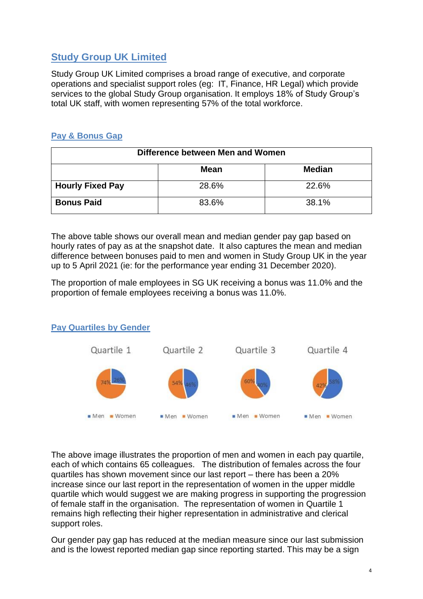# **Study Group UK Limited**

Study Group UK Limited comprises a broad range of executive, and corporate operations and specialist support roles (eg: IT, Finance, HR Legal) which provide services to the global Study Group organisation. It employs 18% of Study Group's total UK staff, with women representing 57% of the total workforce.

## **Pay & Bonus Gap**

| Difference between Men and Women |             |               |  |
|----------------------------------|-------------|---------------|--|
|                                  | <b>Mean</b> | <b>Median</b> |  |
| <b>Hourly Fixed Pay</b>          | 28.6%       | 22.6%         |  |
| <b>Bonus Paid</b>                | 83.6%       | 38.1%         |  |

The above table shows our overall mean and median gender pay gap based on hourly rates of pay as at the snapshot date. It also captures the mean and median difference between bonuses paid to men and women in Study Group UK in the year up to 5 April 2021 (ie: for the performance year ending 31 December 2020).

The proportion of male employees in SG UK receiving a bonus was 11.0% and the proportion of female employees receiving a bonus was 11.0%.



### **Pay Quartiles by Gender**

The above image illustrates the proportion of men and women in each pay quartile, each of which contains 65 colleagues. The distribution of females across the four quartiles has shown movement since our last report – there has been a 20% increase since our last report in the representation of women in the upper middle quartile which would suggest we are making progress in supporting the progression of female staff in the organisation. The representation of women in Quartile 1 remains high reflecting their higher representation in administrative and clerical support roles.

Our gender pay gap has reduced at the median measure since our last submission and is the lowest reported median gap since reporting started. This may be a sign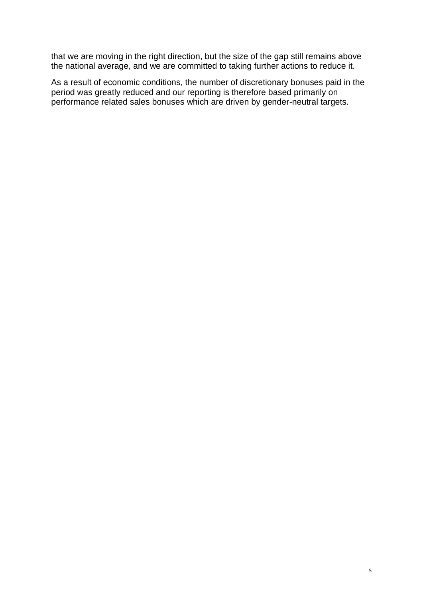that we are moving in the right direction, but the size of the gap still remains above the national average, and we are committed to taking further actions to reduce it.

As a result of economic conditions, the number of discretionary bonuses paid in the period was greatly reduced and our reporting is therefore based primarily on performance related sales bonuses which are driven by gender-neutral targets.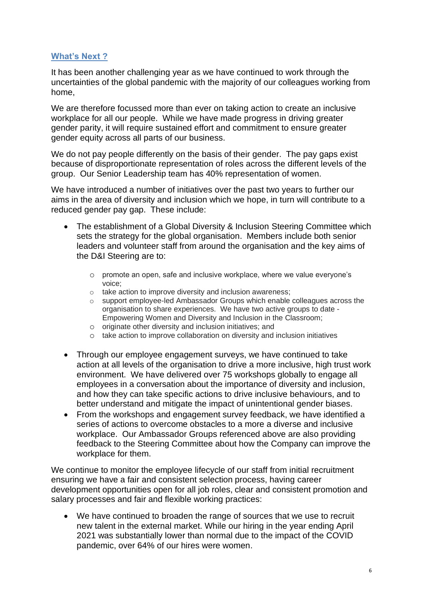#### **What's Next ?**

It has been another challenging year as we have continued to work through the uncertainties of the global pandemic with the majority of our colleagues working from home,

We are therefore focussed more than ever on taking action to create an inclusive workplace for all our people. While we have made progress in driving greater gender parity, it will require sustained effort and commitment to ensure greater gender equity across all parts of our business.

We do not pay people differently on the basis of their gender. The pay gaps exist because of disproportionate representation of roles across the different levels of the group. Our Senior Leadership team has 40% representation of women.

We have introduced a number of initiatives over the past two years to further our aims in the area of diversity and inclusion which we hope, in turn will contribute to a reduced gender pay gap. These include:

- The establishment of a Global Diversity & Inclusion Steering Committee which sets the strategy for the global organisation. Members include both senior leaders and volunteer staff from around the organisation and the key aims of the D&I Steering are to:
	- o promote an open, safe and inclusive workplace, where we value everyone's voice;
	- o take action to improve diversity and inclusion awareness;
	- o support employee-led Ambassador Groups which enable colleagues across the organisation to share experiences. We have two active groups to date - Empowering Women and Diversity and Inclusion in the Classroom;
	- o originate other diversity and inclusion initiatives; and
	- o take action to improve collaboration on diversity and inclusion initiatives
- Through our employee engagement surveys, we have continued to take action at all levels of the organisation to drive a more inclusive, high trust work environment. We have delivered over 75 workshops globally to engage all employees in a conversation about the importance of diversity and inclusion, and how they can take specific actions to drive inclusive behaviours, and to better understand and mitigate the impact of unintentional gender biases.
- From the workshops and engagement survey feedback, we have identified a series of actions to overcome obstacles to a more a diverse and inclusive workplace. Our Ambassador Groups referenced above are also providing feedback to the Steering Committee about how the Company can improve the workplace for them.

We continue to monitor the employee lifecycle of our staff from initial recruitment ensuring we have a fair and consistent selection process, having career development opportunities open for all job roles, clear and consistent promotion and salary processes and fair and flexible working practices:

• We have continued to broaden the range of sources that we use to recruit new talent in the external market. While our hiring in the year ending April 2021 was substantially lower than normal due to the impact of the COVID pandemic, over 64% of our hires were women.